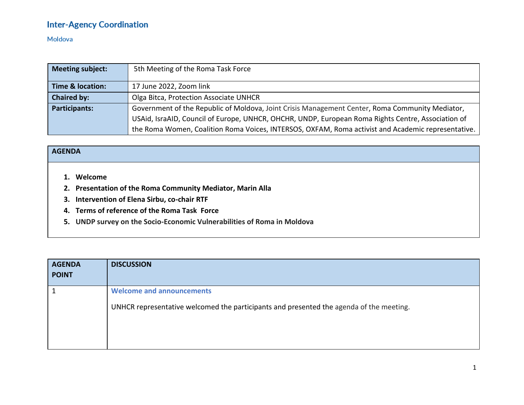#### Moldova

| Meeting subject:                                                                                                        | 5th Meeting of the Roma Task Force                                                                 |
|-------------------------------------------------------------------------------------------------------------------------|----------------------------------------------------------------------------------------------------|
| <b>Time &amp; location:</b>                                                                                             | 17 June 2022, Zoom link                                                                            |
| <b>Chaired by:</b>                                                                                                      | Olga Bitca, Protection Associate UNHCR                                                             |
| <b>Participants:</b><br>Government of the Republic of Moldova, Joint Crisis Management Center, Roma Community Mediator, |                                                                                                    |
|                                                                                                                         | USAid, IsraAID, Council of Europe, UNHCR, OHCHR, UNDP, European Roma Rights Centre, Association of |
|                                                                                                                         | the Roma Women, Coalition Roma Voices, INTERSOS, OXFAM, Roma activist and Academic representative. |

#### **AGENDA**

- **1. Welcome**
- **2. Presentation of the Roma Community Mediator, Marin Alla**
- **3. Intervention of Elena Sirbu, co-chair RTF**
- **4. Terms of reference of the Roma Task Force**
- **5. UNDP survey on the Socio-Economic Vulnerabilities of Roma in Moldova**

| <b>AGENDA</b><br><b>POINT</b> | <b>DISCUSSION</b>                                                                                                           |
|-------------------------------|-----------------------------------------------------------------------------------------------------------------------------|
|                               | <b>Welcome and announcements</b><br>UNHCR representative welcomed the participants and presented the agenda of the meeting. |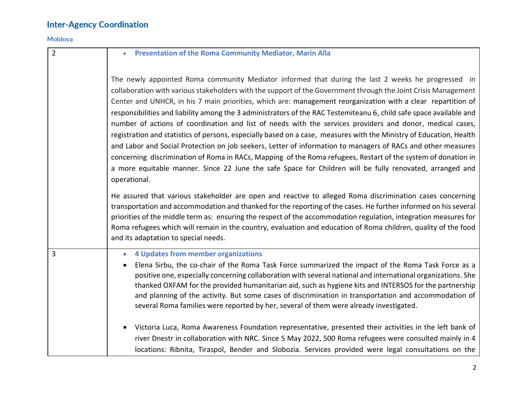#### Moldova

| $\overline{2}$ | <b>Presentation of the Roma Community Mediator, Marin Alla</b>                                                                                                                                                                                                                                                                                                                                                                                                                                                                                                                                                                                                                                                                                                                                                                                                                                                                                                                                                                                                                                                                                                                                                                                                                                                                                                                                                                                                                                                                                                             |  |  |  |  |
|----------------|----------------------------------------------------------------------------------------------------------------------------------------------------------------------------------------------------------------------------------------------------------------------------------------------------------------------------------------------------------------------------------------------------------------------------------------------------------------------------------------------------------------------------------------------------------------------------------------------------------------------------------------------------------------------------------------------------------------------------------------------------------------------------------------------------------------------------------------------------------------------------------------------------------------------------------------------------------------------------------------------------------------------------------------------------------------------------------------------------------------------------------------------------------------------------------------------------------------------------------------------------------------------------------------------------------------------------------------------------------------------------------------------------------------------------------------------------------------------------------------------------------------------------------------------------------------------------|--|--|--|--|
|                | The newly appointed Roma community Mediator informed that during the last 2 weeks he progressed in<br>collaboration with various stakeholders with the support of the Government through the Joint Crisis Management<br>Center and UNHCR, in his 7 main priorities, which are: management reorganization with a clear repartition of<br>responsibilities and liability among the 3 administrators of the RAC Testemiteanu 6, child safe space available and<br>number of actions of coordination and list of needs with the services providers and donor, medical cases,<br>registration and statistics of persons, especially based on a case, measures with the Ministry of Education, Health<br>and Labor and Social Protection on job seekers, Letter of information to managers of RACs and other measures<br>concerning discrimination of Roma in RACs, Mapping of the Roma refugees, Restart of the system of donation in<br>a more equitable manner. Since 22 June the safe Space for Children will be fully renovated, arranged and<br>operational.<br>He assured that various stakeholder are open and reactive to alleged Roma discrimination cases concerning<br>transportation and accommodation and thanked for the reporting of the cases. He further informed on his several<br>priorities of the middle term as: ensuring the respect of the accommodation regulation, integration measures for<br>Roma refugees which will remain in the country, evaluation and education of Roma children, quality of the food<br>and its adaptation to special needs. |  |  |  |  |
| $\overline{3}$ | 4 Updates from member organizations<br>$\bullet$<br>Elena Sirbu, the co-chair of the Roma Task Force summarized the impact of the Roma Task Force as a<br>positive one, especially concerning collaboration with several national and international organizations. She<br>thanked OXFAM for the provided humanitarian aid, such as hygiene kits and INTERSOS for the partnership<br>and planning of the activity. But some cases of discrimination in transportation and accommodation of<br>several Roma families were reported by her, several of them were already investigated.                                                                                                                                                                                                                                                                                                                                                                                                                                                                                                                                                                                                                                                                                                                                                                                                                                                                                                                                                                                        |  |  |  |  |
|                | Victoria Luca, Roma Awareness Foundation representative, presented their activities in the left bank of<br>river Dnestr in collaboration with NRC. Since 5 May 2022, 500 Roma refugees were consulted mainly in 4<br>locations: Ribnita, Tiraspol, Bender and Slobozia. Services provided were legal consultations on the                                                                                                                                                                                                                                                                                                                                                                                                                                                                                                                                                                                                                                                                                                                                                                                                                                                                                                                                                                                                                                                                                                                                                                                                                                                  |  |  |  |  |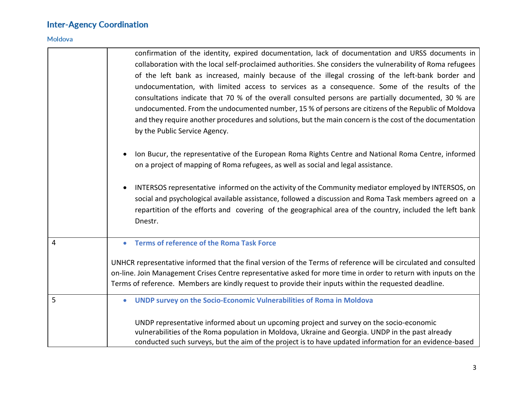### Moldova

|   | confirmation of the identity, expired documentation, lack of documentation and URSS documents in<br>collaboration with the local self-proclaimed authorities. She considers the vulnerability of Roma refugees<br>of the left bank as increased, mainly because of the illegal crossing of the left-bank border and<br>undocumentation, with limited access to services as a consequence. Some of the results of the<br>consultations indicate that 70 % of the overall consulted persons are partially documented, 30 % are<br>undocumented. From the undocumented number, 15 % of persons are citizens of the Republic of Moldova<br>and they require another procedures and solutions, but the main concern is the cost of the documentation<br>by the Public Service Agency.<br>Ion Bucur, the representative of the European Roma Rights Centre and National Roma Centre, informed<br>on a project of mapping of Roma refugees, as well as social and legal assistance.<br>INTERSOS representative informed on the activity of the Community mediator employed by INTERSOS, on<br>social and psychological available assistance, followed a discussion and Roma Task members agreed on a<br>repartition of the efforts and covering of the geographical area of the country, included the left bank<br>Dnestr. |  |
|---|---------------------------------------------------------------------------------------------------------------------------------------------------------------------------------------------------------------------------------------------------------------------------------------------------------------------------------------------------------------------------------------------------------------------------------------------------------------------------------------------------------------------------------------------------------------------------------------------------------------------------------------------------------------------------------------------------------------------------------------------------------------------------------------------------------------------------------------------------------------------------------------------------------------------------------------------------------------------------------------------------------------------------------------------------------------------------------------------------------------------------------------------------------------------------------------------------------------------------------------------------------------------------------------------------------------------|--|
| 4 | <b>Terms of reference of the Roma Task Force</b><br>$\bullet$                                                                                                                                                                                                                                                                                                                                                                                                                                                                                                                                                                                                                                                                                                                                                                                                                                                                                                                                                                                                                                                                                                                                                                                                                                                       |  |
|   |                                                                                                                                                                                                                                                                                                                                                                                                                                                                                                                                                                                                                                                                                                                                                                                                                                                                                                                                                                                                                                                                                                                                                                                                                                                                                                                     |  |
|   | UNHCR representative informed that the final version of the Terms of reference will be circulated and consulted                                                                                                                                                                                                                                                                                                                                                                                                                                                                                                                                                                                                                                                                                                                                                                                                                                                                                                                                                                                                                                                                                                                                                                                                     |  |
|   | on-line. Join Management Crises Centre representative asked for more time in order to return with inputs on the<br>Terms of reference. Members are kindly request to provide their inputs within the requested deadline.                                                                                                                                                                                                                                                                                                                                                                                                                                                                                                                                                                                                                                                                                                                                                                                                                                                                                                                                                                                                                                                                                            |  |
| 5 | UNDP survey on the Socio-Economic Vulnerabilities of Roma in Moldova<br>$\bullet$                                                                                                                                                                                                                                                                                                                                                                                                                                                                                                                                                                                                                                                                                                                                                                                                                                                                                                                                                                                                                                                                                                                                                                                                                                   |  |
|   | UNDP representative informed about un upcoming project and survey on the socio-economic<br>vulnerabilities of the Roma population in Moldova, Ukraine and Georgia. UNDP in the past already<br>conducted such surveys, but the aim of the project is to have updated information for an evidence-based                                                                                                                                                                                                                                                                                                                                                                                                                                                                                                                                                                                                                                                                                                                                                                                                                                                                                                                                                                                                              |  |